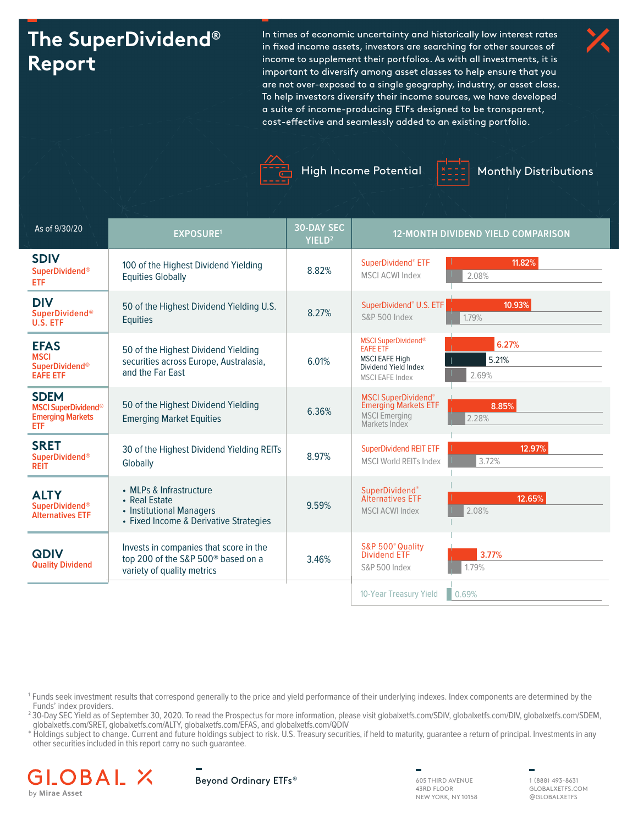# **The SuperDividend® Report**

In times of economic uncertainty and historically low interest rates in fixed income assets, investors are searching for other sources of income to supplement their portfolios. As with all investments, it is important to diversify among asset classes to help ensure that you are not over-exposed to a single geography, industry, or asset class. To help investors diversify their income sources, we have developed a suite of income-producing ETFs designed to be transparent, cost-effective and seamlessly added to an existing portfolio.





High Income Potential | 1002 | Monthly Distributions



| As of 9/30/20                                                               | <b>EXPOSURE1</b>                                                                                                       | <b>30-DAY SEC</b><br>YIELD <sup>2</sup> | 12-MONTH DIVIDEND YIELD COMPARISON                                                                                                                  |
|-----------------------------------------------------------------------------|------------------------------------------------------------------------------------------------------------------------|-----------------------------------------|-----------------------------------------------------------------------------------------------------------------------------------------------------|
| <b>SDIV</b><br><b>SuperDividend®</b><br>ETF                                 | 100 of the Highest Dividend Yielding<br><b>Equities Globally</b>                                                       | 8.82%                                   | 11.82%<br>SuperDividend® ETF<br><b>MSCI ACWI Index</b><br>2.08%                                                                                     |
| <b>DIV</b><br><b>SuperDividend®</b><br>U.S. ETF                             | 50 of the Highest Dividend Yielding U.S.<br><b>Equities</b>                                                            | 8.27%                                   | 10.93%<br>SuperDividend® U.S. ETF<br>S&P 500 Index<br>1.79%                                                                                         |
| <b>EFAS</b><br><b>MSCI</b><br><b>SuperDividend®</b><br><b>EAFE ETF</b>      | 50 of the Highest Dividend Yielding<br>securities across Europe, Australasia,<br>and the Far East                      | 6.01%                                   | <b>MSCI SuperDividend®</b><br>6.27%<br><b>EAFE ETF</b><br><b>MSCI EAFE High</b><br>5.21%<br>Dividend Yield Index<br>2.69%<br><b>MSCI EAFE Index</b> |
| <b>SDEM</b><br><b>MSCI SuperDividend®</b><br><b>Emerging Markets</b><br>ETF | 50 of the Highest Dividend Yielding<br><b>Emerging Market Equities</b>                                                 | 6.36%                                   | <b>MSCI SuperDividend®</b><br><b>Emerging Markets ETF</b><br>8.85%<br><b>MSCI</b> Emerging<br>2.28%<br>Markets Index                                |
| <b>SRET</b><br><b>SuperDividend®</b><br><b>REIT</b>                         | 30 of the Highest Dividend Yielding REITs<br>Globally                                                                  | 8.97%                                   | 12.97%<br><b>SuperDividend REIT ETF</b><br>3.72%<br><b>MSCI World REITs Index</b>                                                                   |
| <b>ALTY</b><br><b>SuperDividend®</b><br><b>Alternatives ETF</b>             | • MLPs & Infrastructure<br>• Real Estate<br>• Institutional Managers<br>• Fixed Income & Derivative Strategies         | 9.59%                                   | SuperDividend®<br>12.65%<br><b>Alternatives ETF</b><br>2.08%<br><b>MSCI ACWI Index</b>                                                              |
| <b>QDIV</b><br><b>Quality Dividend</b>                                      | Invests in companies that score in the<br>top 200 of the S&P 500 <sup>®</sup> based on a<br>variety of quality metrics | 3.46%                                   | S&P 500° Quality<br><b>Dividend ETF</b><br>3.77%<br>1.79%<br><b>S&amp;P 500 Index</b>                                                               |
|                                                                             |                                                                                                                        |                                         | 0.69%<br>10-Year Treasury Yield                                                                                                                     |

1 Funds seek investment results that correspond generally to the price and yield performance of their underlying indexes. Index components are determined by the Funds' index providers.

<sup>2</sup> 30-Day SEC Yield as of September 30, 2020. To read the Prospectus for more information, please visit globalxetfs.com/SDIV, globalxetfs.com/DIV, globalxetfs.com/SDEM, globalxetfs.com/SRET, globalxetfs.com/ALTY, globalxetfs.com/EFAS, and globalxetfs.com/QDIV

\* Holdings subject to change. Current and future holdings subject to risk. U.S. Treasury securities, if held to maturity, guarantee a return of principal. Investments in any other securities included in this report carry no such guarantee.





43RD FLOOR NEW YORK, NY 10158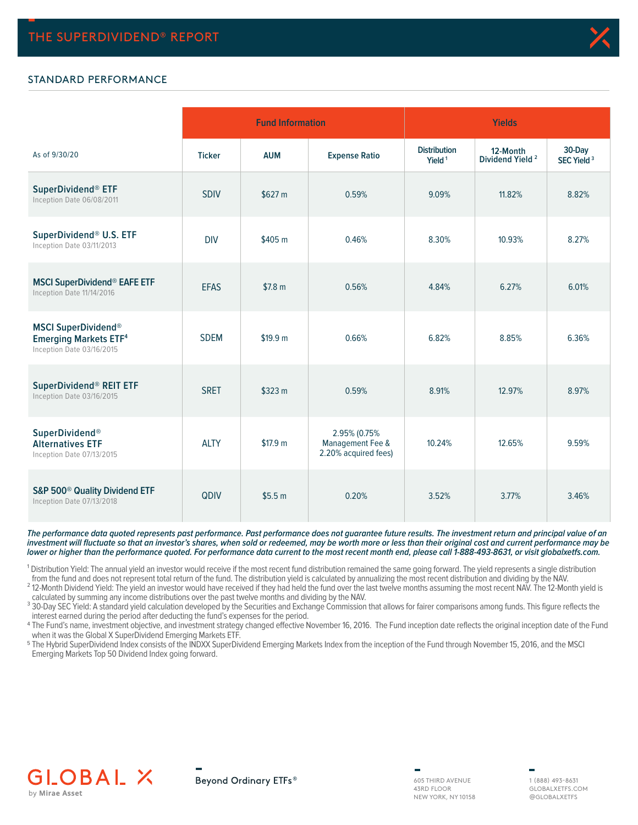

## STANDARD PERFORMANCE

|                                                                                         |               | <b>Fund Information</b> |                                                          | <b>Yields</b>                             |                                         |                                  |  |  |  |
|-----------------------------------------------------------------------------------------|---------------|-------------------------|----------------------------------------------------------|-------------------------------------------|-----------------------------------------|----------------------------------|--|--|--|
| As of 9/30/20                                                                           | <b>Ticker</b> | <b>AUM</b>              | <b>Expense Ratio</b>                                     | <b>Distribution</b><br>Yield <sup>1</sup> | 12-Month<br>Dividend Yield <sup>2</sup> | 30-Day<br>SEC Yield <sup>3</sup> |  |  |  |
| SuperDividend® ETF<br>Inception Date 06/08/2011                                         | <b>SDIV</b>   | \$627 m                 | 0.59%                                                    | 9.09%                                     | 11.82%                                  | 8.82%                            |  |  |  |
| SuperDividend® U.S. ETF<br>Inception Date 03/11/2013                                    | <b>DIV</b>    | \$405 m                 | 0.46%                                                    | 8.30%                                     | 10.93%                                  | 8.27%                            |  |  |  |
| <b>MSCI SuperDividend® EAFE ETF</b><br>Inception Date 11/14/2016                        | <b>EFAS</b>   | \$7.8 m                 | 0.56%                                                    | 4.84%                                     | 6.27%                                   | 6.01%                            |  |  |  |
| <b>MSCI SuperDividend®</b><br><b>Emerging Markets ETF4</b><br>Inception Date 03/16/2015 | <b>SDEM</b>   | \$19.9 m                | 0.66%                                                    | 6.82%                                     | 8.85%                                   | 6.36%                            |  |  |  |
| SuperDividend® REIT ETF<br>Inception Date 03/16/2015                                    | <b>SRET</b>   | \$323 m                 | 0.59%                                                    | 8.91%                                     | 12.97%                                  | 8.97%                            |  |  |  |
| SuperDividend®<br><b>Alternatives ETF</b><br>Inception Date 07/13/2015                  | <b>ALTY</b>   | \$17.9 m                | 2.95% (0.75%<br>Management Fee &<br>2.20% acquired fees) | 10.24%                                    | 12.65%                                  | 9.59%                            |  |  |  |
| S&P 500 <sup>®</sup> Quality Dividend ETF<br>Inception Date 07/13/2018                  | QDIV          | \$5.5 <sub>m</sub>      | 0.20%                                                    | 3.52%                                     | 3.77%                                   | 3.46%                            |  |  |  |

**The performance data quoted represents past performance. Past performance does not guarantee future results. The investment return and principal value of an investment will fluctuate so that an investor's shares, when sold or redeemed, may be worth more or less than their original cost and current performance may be lower or higher than the performance quoted. For performance data current to the most recent month end, please call 1-888-493-8631, or visit globalxetfs.com.**

<sup>1</sup> Distribution Yield: The annual yield an investor would receive if the most recent fund distribution remained the same going forward. The yield represents a single distribution from the fund and does not represent total return of the fund. The distribution yield is calculated by annualizing the most recent distribution and dividing by the NAV.

which the time and about the yield an investor would have received if they had held the fund over the last twelve months assuming the most recent NAV. The 12-Month yield is calculated by summing any income distributions over the past twelve months and dividing by the NAV.

<sup>3</sup> 30-Day SEC Yield: A standard yield calculation developed by the Securities and Exchange Commission that allows for fairer comparisons among funds. This figure reflects the interest earned during the period after deducting the fund's expenses for the period.

4 The Fund's name, investment objective, and investment strategy changed effective November 16, 2016. The Fund inception date reflects the original inception date of the Fund when it was the Global X SuperDividend Emerging Markets ETF.

5 The Hybrid SuperDividend Index consists of the INDXX SuperDividend Emerging Markets Index from the inception of the Fund through November 15, 2016, and the MSCI Emerging Markets Top 50 Dividend Index going forward.



Beyond Ordinary ETFs®

605 THIRD AVENUE 43RD FLOOR NEW YORK, NY 10158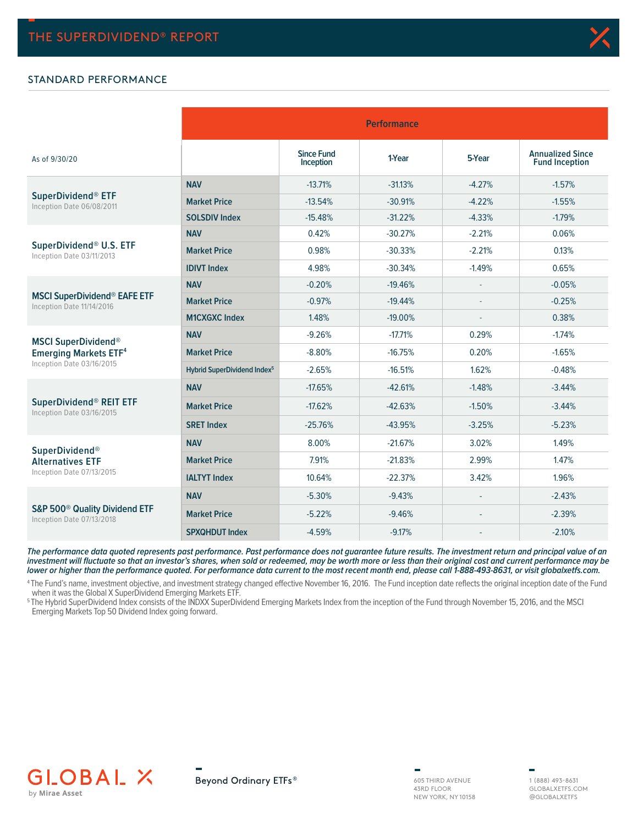#### STANDARD PERFORMANCE

|                                                                        |                                         |                                | <b>Performance</b> |          |                                                  |
|------------------------------------------------------------------------|-----------------------------------------|--------------------------------|--------------------|----------|--------------------------------------------------|
| As of 9/30/20                                                          |                                         | <b>Since Fund</b><br>Inception | 1-Year             | 5-Year   | <b>Annualized Since</b><br><b>Fund Inception</b> |
|                                                                        | <b>NAV</b>                              | $-13.71%$                      | $-31.13%$          | $-4.27%$ | $-1.57%$                                         |
| SuperDividend® ETF<br>Inception Date 06/08/2011                        | <b>Market Price</b>                     | $-13.54%$                      | $-30.91%$          | $-4.22%$ | $-1.55%$                                         |
|                                                                        | <b>SOLSDIV Index</b>                    | $-15.48%$                      | $-31.22%$          | $-4.33%$ | $-1.79%$                                         |
|                                                                        | <b>NAV</b>                              | 0.42%                          | $-30.27%$          | $-2.21%$ | 0.06%                                            |
| SuperDividend® U.S. ETF<br>Inception Date 03/11/2013                   | <b>Market Price</b>                     | 0.98%                          | $-30.33%$          | $-2.21%$ | 0.13%                                            |
|                                                                        | <b>IDIVT Index</b>                      | 4.98%                          | $-30.34%$          | $-1.49%$ | 0.65%                                            |
|                                                                        | <b>NAV</b>                              | $-0.20%$                       | $-19.46%$          |          | $-0.05%$                                         |
| <b>MSCI SuperDividend® EAFE ETF</b><br>Inception Date 11/14/2016       | <b>Market Price</b>                     | $-0.97%$                       | $-19.44%$          |          | $-0.25%$                                         |
|                                                                        | <b>M1CXGXC Index</b>                    | 1.48%                          | $-19.00%$          |          | 0.38%                                            |
| <b>MSCI SuperDividend®</b>                                             | <b>NAV</b>                              | $-9.26%$                       | $-17.71%$          | 0.29%    | $-1.74%$                                         |
| <b>Emerging Markets ETF4</b>                                           | <b>Market Price</b>                     | $-8.80%$                       | $-16.75%$          | 0.20%    | $-1.65%$                                         |
| Inception Date 03/16/2015                                              | Hybrid SuperDividend Index <sup>5</sup> | $-2.65%$                       | $-16.51%$          | 1.62%    | $-0.48%$                                         |
|                                                                        | <b>NAV</b>                              | $-17.65%$                      | $-42.61%$          | $-1.48%$ | $-3.44%$                                         |
| SuperDividend <sup>®</sup> REIT ETF<br>Inception Date 03/16/2015       | <b>Market Price</b>                     | $-17.62%$                      | $-42.63%$          | $-1.50%$ | $-3.44%$                                         |
|                                                                        | <b>SRET Index</b>                       | $-25.76%$                      | $-43.95%$          | $-3.25%$ | $-5.23%$                                         |
| <b>SuperDividend®</b>                                                  | <b>NAV</b>                              | 8.00%                          | $-21.67%$          | 3.02%    | 1.49%                                            |
| <b>Alternatives ETF</b>                                                | <b>Market Price</b>                     | 7.91%                          | $-21.83%$          | 2.99%    | 1.47%                                            |
| Inception Date 07/13/2015                                              | <b>IALTYT Index</b>                     | 10.64%                         | $-22.37%$          | 3.42%    | 1.96%                                            |
|                                                                        | <b>NAV</b>                              | $-5.30%$                       | $-9.43%$           |          | $-2.43%$                                         |
| S&P 500 <sup>®</sup> Quality Dividend ETF<br>Inception Date 07/13/2018 | <b>Market Price</b>                     | $-5.22%$                       | $-9.46%$           |          | $-2.39%$                                         |
|                                                                        | <b>SPXQHDUT Index</b>                   | $-4.59%$                       | $-9.17%$           |          | $-2.10%$                                         |

**The performance data quoted represents past performance. Past performance does not guarantee future results. The investment return and principal value of an investment will fluctuate so that an investor's shares, when sold or redeemed, may be worth more or less than their original cost and current performance may be lower or higher than the performance quoted. For performance data current to the most recent month end, please call 1-888-493-8631, or visit globalxetfs.com.**

<sup>4</sup>The Fund's name, investment objective, and investment strategy changed effective November 16, 2016. The Fund inception date reflects the original inception date of the Fund when it was the Global X SuperDividend Emerging Markets ETF.

5 The Hybrid SuperDividend Index consists of the INDXX SuperDividend Emerging Markets Index from the inception of the Fund through November 15, 2016, and the MSCI Emerging Markets Top 50 Dividend Index going forward.







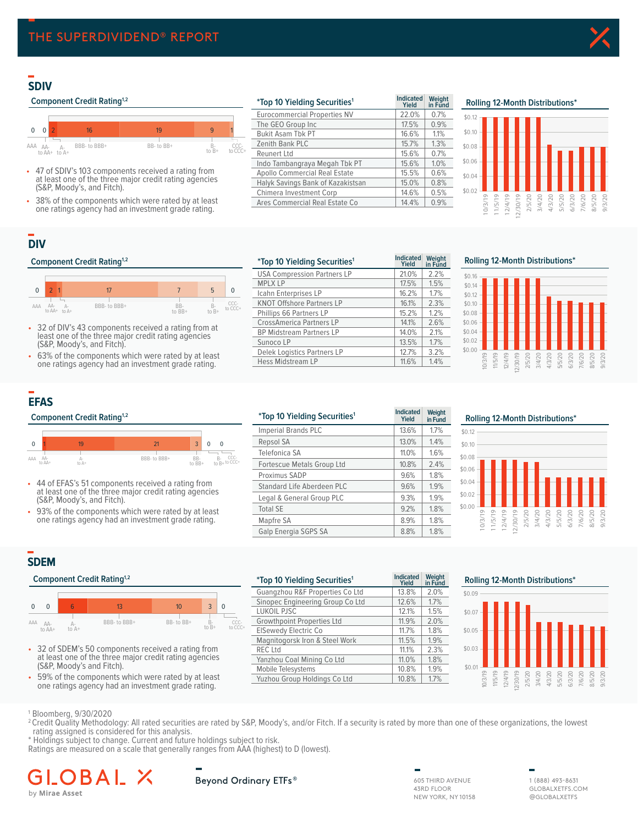## **SDIV**

#### **Component Credit Rating<sup>1,2</sup>**



- 47 of SDIV's 103 components received a rating from at least one of the three major credit rating agencies (S&P, Moody's, and Fitch).
- 38% of the components which were rated by at least one ratings agency had an investment grade rating.

| <i>*Top 10 Yielding Securities<sup>1</sup></i> | <b>Indicated</b><br>Yield | Weight<br>in Fund |
|------------------------------------------------|---------------------------|-------------------|
| <b>Eurocommercial Properties NV</b>            | 22.0%                     | 0.7%              |
| The GEO Group Inc                              | 17.5%                     | 0.9%              |
| <b>Bukit Asam Tbk PT</b>                       | 16.6%                     | 1.1%              |
| Zenith Bank PLC                                | 15.7%                     | 1.3%              |
| <b>Reunert Ltd</b>                             | 15.6%                     | 0.7%              |
| Indo Tambangraya Megah Tbk PT                  | 15.6%                     | 1.0%              |
| Apollo Commercial Real Estate                  | 15.5%                     | 0.6%              |
| Halyk Savings Bank of Kazakistsan              | 15.0%                     | 0.8%              |
| Chimera Investment Corp                        | 14.6%                     | 0.5%              |
| Ares Commercial Real Estate Co                 | 14.4%                     | 0.9%              |

## **SDIV Rolling 12 Month Distributions² Rolling 12-Month Distributions\***



## **DIV**

#### **Component Credit Rating<sup>1,2</sup>**



- 32 of DIV's 43 components received a rating from at least one of the three major credit rating agencies (S&P, Moody's, and Fitch).
- 63% of the components which were rated by at least one ratings agency had an investment grade rating.

| <i>*Top 10 Yielding Securities<sup>1</sup></i> | <b>Indicated</b><br>Yield | Weight<br>in Fund |
|------------------------------------------------|---------------------------|-------------------|
| <b>USA Compression Partners LP</b>             | 21.0%                     | 2.2%              |
| <b>MPLX LP</b>                                 | 17.5%                     | 1.5%              |
| Icahn Enterprises LP                           | 16.2%                     | 1.7%              |
| <b>KNOT Offshore Partners LP</b>               | 16.1%                     | 2.3%              |
| Phillips 66 Partners LP                        | 15.2%                     | 1.2%              |
| <b>CrossAmerica Partners LP</b>                | 14.1%                     | 2.6%              |
| <b>BP Midstream Partners LP</b>                | 14.0%                     | 2.1%              |
| Sunoco LP                                      | 13.5%                     | 1.7%              |
| Delek Logistics Partners LP                    | 12.7%                     | 3.2%              |
| <b>Hess Midstream LP</b>                       | 11.6%                     | 1.4%              |
|                                                |                           |                   |

**DIV Rolling 12 Month Distributions² Rolling 12-Month Distributions\***



## **EFAS**





- 44 of EFAS's 51 components received a rating from at least one of the three major credit rating agencies (S&P, Moody's, and Fitch).
- 93% of the components which were rated by at least one ratings agency had an investment grade rating.

|               | <b>Component Credit Rating</b> <sup>1,2</sup>                                                               |    | <i>*Top 10 Yielding Securities<sup>1</sup></i> | <b>Indicated</b><br>Yield | Weight<br>in Fund          |       |      |
|---------------|-------------------------------------------------------------------------------------------------------------|----|------------------------------------------------|---------------------------|----------------------------|-------|------|
|               |                                                                                                             |    |                                                |                           | Imperial Brands PLC        | 13.6% | 1.7% |
| $\mathbf 0$   | 19                                                                                                          | 21 | 3                                              | $\Omega$<br>$\Omega$      | Repsol SA                  | 13.0% | 1.4% |
| AA-           |                                                                                                             |    |                                                | CCC-                      | Telefonica SA              | 11.0% | 1.6% |
| AAA<br>to AA+ | $B -$<br>BBB- to BBB+<br>BB-<br>$to$ $B+$ to CCC+<br>to A+<br>to BB+                                        |    | Fortescue Metals Group Ltd                     | 10.8%                     | 2.4%                       |       |      |
|               |                                                                                                             |    |                                                |                           | Proximus SADP              | 9.6%  | 1.8% |
| ۰             | 44 of EFAS's 51 components received a rating from<br>at least one of the three major credit rating agencies |    |                                                |                           | Standard Life Aberdeen PLC | 9.6%  | 1.9% |
|               | (S&P, Moody's, and Fitch).                                                                                  |    |                                                |                           | Legal & General Group PLC  | 9.3%  | 1.9% |
| ٠             | 93% of the components which were rated by at least                                                          |    |                                                |                           | <b>Total SE</b>            | 9.2%  | 1.8% |
|               | one ratings agency had an investment grade rating.                                                          |    | Mapfre SA                                      | 8.9%                      | 1.8%                       |       |      |
|               |                                                                                                             |    |                                                |                           | Galp Energia SGPS SA       | 8.8%  | 1.8% |

**EFAS Rolling 12 Month Distributions² Rolling 12-Month Distributions\*** \$0.10 \$0.12



## **SDEM**

#### **Component Credit Rating<sup>1,2</sup>**



- 32 of SDEM's 50 components received a rating from at least one of the three major credit rating agencies (S&P, Moody's and Fitch).
- 59% of the components which were rated by at least one ratings agency had an investment grade rating.

| Component Credit Rating <sup>1,2</sup>                                                                                                                                | <i>*Top 10 Yielding Securities<sup>1</sup></i> | Indicated<br>Yield | Weight<br>in Fund | <b>Rolling 12-Month Distributions*</b> |
|-----------------------------------------------------------------------------------------------------------------------------------------------------------------------|------------------------------------------------|--------------------|-------------------|----------------------------------------|
|                                                                                                                                                                       | Guangzhou R&F Properties Co Ltd                | 13.8%              | 2.0%              | \$0.09                                 |
|                                                                                                                                                                       | Sinopec Engineering Group Co Ltd               | 12.6%              | 1.7%              |                                        |
| 10 <sup>1</sup><br>3<br>$\overline{0}$                                                                                                                                | LUKOIL PJSC                                    | 12.1%              | 1.5%              | $$0.07 -$                              |
| BBB- to BBB+<br>BB- to BB+<br>$B -$<br>CCC-<br>A AA-                                                                                                                  | <b>Growthpoint Properties Ltd</b>              | 11.9%              | 2.0%              |                                        |
| to B+<br>to CCC+<br>to A+<br>to AA+                                                                                                                                   | <b>ElSewedy Electric Co</b>                    | 11.7%              | $1.8\%$           | \$0.05                                 |
|                                                                                                                                                                       | Magnitogorsk Iron & Steel Work                 | 11.5%              | $1.9\%$           |                                        |
| 32 of SDEM's 50 components received a rating from<br>at least one of the three major credit rating agencies                                                           | <b>REC</b> Ltd                                 | 11.1%              | 2.3%              | $$0.03 -$                              |
|                                                                                                                                                                       | Yanzhou Coal Mining Co Ltd                     | 11.0%              | 1.8%              |                                        |
| (S&P, Moody's and Fitch).                                                                                                                                             | Mobile Telesystems                             | 10.8%              | 1.9%              | $$0.0^{\circ}$                         |
| 59% of the components which were rated by at least<br>the contract of the contract of the contract of the contract of the contract of the contract of the contract of | Yuzhou Group Holdings Co Ltd                   | 10.8%              | 1.7%              | ಗ<br>$\overline{m}$<br>$\sim$          |





1 Bloomberg, 9/30/2020

- <sup>2</sup> Credit Quality Methodology: All rated securities are rated by S&P, Moody's, and/or Fitch. If a security is rated by more than one of these organizations, the lowest rating assigned is considered for this analysis.
- \* Holdings subject to change. Current and future holdings subject to risk.
- Ratings are measured on a scale that generally ranges from AAA (highest) to D (lowest).

#### A I. В by Mirae Asset

Beyond Ordinary ETFs®

605 THIRD AVENUE 43RD FLOOR NEW YORK, NY 10158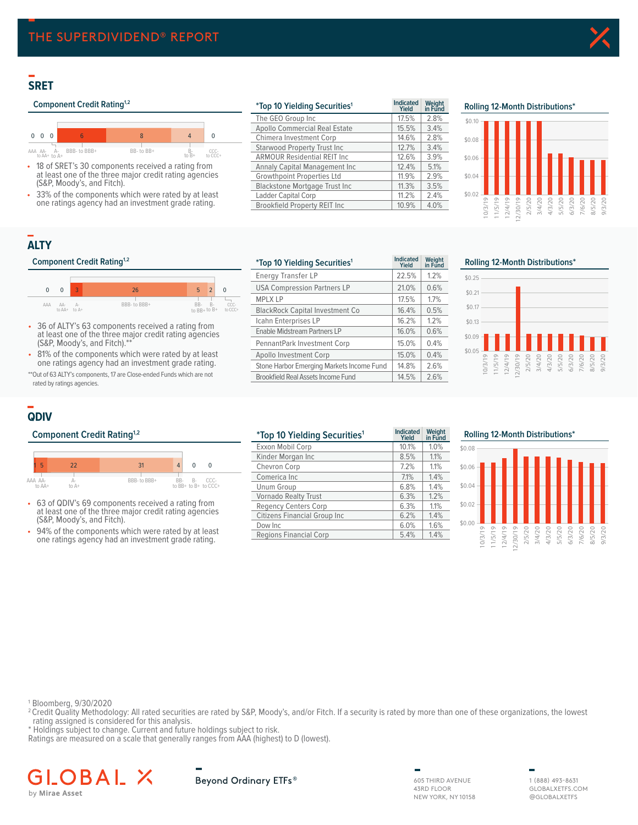## **SRET**

## **Component Credit Rating<sup>1,2</sup>**



- 18 of SRET's 30 components received a rating from at least one of the three major credit rating agencies (S&P, Moody's, and Fitch).
- 33% of the components which were rated by at least one ratings agency had an investment grade rating.

| <i>*Top 10 Yielding Securities<sup>1</sup></i> | <b>Indicated</b><br>Yield | Weight<br>in Fund |        |           |    |  | Rolling 12-Month Distributions* |  |          |                          |
|------------------------------------------------|---------------------------|-------------------|--------|-----------|----|--|---------------------------------|--|----------|--------------------------|
| The GEO Group Inc                              | 17.5%                     | 2.8%              |        | \$0.10    |    |  |                                 |  |          |                          |
| Apollo Commercial Real Estate                  | 15.5%                     | 3.4%              |        |           |    |  |                                 |  |          |                          |
| Chimera Investment Corp                        | 14.6%                     | 2.8%              |        | $$0.08 -$ |    |  |                                 |  |          |                          |
| <b>Starwood Property Trust Inc.</b>            | 12.7%                     | 3.4%              |        |           |    |  |                                 |  |          |                          |
| <b>ARMOUR Residential REIT Inc.</b>            | 12.6%                     | 3.9%              |        | \$0.06    |    |  |                                 |  |          |                          |
| Annaly Capital Management Inc.                 | 12.4%                     | 5.1%              |        |           |    |  |                                 |  |          |                          |
| <b>Growthpoint Properties Ltd</b>              | 11.9%                     | 2.9%              |        | \$0.04    |    |  |                                 |  |          |                          |
| <b>Blackstone Mortgage Trust Inc.</b>          | 11.3%                     | 3.5%              |        |           |    |  |                                 |  |          |                          |
| Ladder Capital Corp                            | 11.2%                     | 2.4%              | \$0.02 |           |    |  |                                 |  |          |                          |
| <b>Brookfield Property REIT Inc.</b>           | 10.9%                     | 4.0%              |        |           | LO |  | 20                              |  | 20<br>LO | $\overline{C}$<br>$\sim$ |



## **ALTY**

#### **Component Credit Rating<sup>1,2</sup>**



- 36 of ALTY's 63 components received a rating from at least one of the three major credit rating agencies (S&P, Moody's, and Fitch).\*\*
- 81% of the components which were rated by at least one ratings agency had an investment grade rating.

\*\*Out of 63 ALTY's components, 17 are Close-ended Funds which are not rated by ratings agencies.

| <i>*Top 10 Yielding Securities<sup>1</sup></i> | <b>Indicated</b><br>Yield | Weight<br>in Fund | Rolling 12-Month Distributions*                                    |  |
|------------------------------------------------|---------------------------|-------------------|--------------------------------------------------------------------|--|
| Energy Transfer LP                             | 22.5%                     | 1.2%              | \$0.25                                                             |  |
| <b>USA Compression Partners LP</b>             | 21.0%                     | 0.6%              | \$0.21                                                             |  |
| <b>MPLX LP</b>                                 | 17.5%                     | 1.7%              |                                                                    |  |
| <b>BlackRock Capital Investment Co</b>         | 16.4%                     | 0.5%              | \$0.17                                                             |  |
| Icahn Enterprises LP                           | 16.2%                     | 1.2%              | \$0.13                                                             |  |
| Enable Midstream Partners LP                   | 16.0%                     | 0.6%              | \$0.09                                                             |  |
| PennantPark Investment Corp                    | 15.0%                     | 0.4%              |                                                                    |  |
| Apollo Investment Corp                         | 15.0%                     | 0.4%              | \$0.05                                                             |  |
| Stone Harbor Emerging Markets Income Fund      | 14.8%                     | 2.6%              | 0/3/19<br>1/5/19<br>1/4/19<br>1/5/20<br>1/5/20<br>4/3/20<br>5/5/20 |  |
| <b>Brookfield Real Assets Income Fund</b>      | 14.5%                     | 2.6%              |                                                                    |  |
|                                                |                           |                   |                                                                    |  |



## **QDIV**

### **Component Credit Rating<sup>1,2</sup>**



- 63 of QDIV's 69 components received a rating from at least one of the three major credit rating agencies (S&P, Moody's, and Fitch).
- 94% of the components which were rated by at least one ratings agency had an investment grade rating.

| <i>*Top 10 Yielding Securities<sup>1</sup></i> | <b>Indicated</b><br>Yield | Weight<br>in Fund | Rolling 12-Month Distributions*                                    |
|------------------------------------------------|---------------------------|-------------------|--------------------------------------------------------------------|
| Exxon Mobil Corp                               | 10.1%                     | 1.0%              | \$0.08                                                             |
| Kinder Morgan Inc                              | 8.5%                      | 1.1%              |                                                                    |
| Chevron Corp                                   | 7.2%                      | 1.1%              | \$0.06                                                             |
| Comerica Inc                                   | 7.1%                      | 1.4%              |                                                                    |
| Unum Group                                     | 6.8%                      | 1.4%              | \$0.04                                                             |
| <b>Vornado Realty Trust</b>                    | 6.3%                      | 1.2%              |                                                                    |
| <b>Regency Centers Corp</b>                    | 6.3%                      | 1.1%              | $$0.02 -$                                                          |
| Citizens Financial Group Inc                   | 6.2%                      | 1.4%              |                                                                    |
| Dow Inc                                        | 6.0%                      | 1.6%              | \$0.00<br>20                                                       |
| Regions Financial Corp                         | 5.4%                      | 1.4%              | /20<br>OC.<br>SO.<br>20<br>5<br>$\overline{5}$<br>$\sim$<br>$\sim$ |

| Rolling 12-Month Distributions* |        |        |         |  |  |  |                                                                      |        |
|---------------------------------|--------|--------|---------|--|--|--|----------------------------------------------------------------------|--------|
| \$0.08                          |        |        |         |  |  |  |                                                                      |        |
| \$0.06                          |        |        |         |  |  |  |                                                                      |        |
| \$0.04                          |        |        |         |  |  |  |                                                                      |        |
| \$0.02                          |        |        |         |  |  |  |                                                                      |        |
| \$0.00                          | 0/3/19 | 1/5/19 | 12/4/19 |  |  |  | 12/30/19<br>2/5/20<br>3/4/20<br>6/3/20<br>6/3/20<br>7/6/20<br>7/6/20 | 9/3/20 |

1 Bloomberg, 9/30/2020

- <sup>2</sup> Credit Quality Methodology: All rated securities are rated by S&P, Moody's, and/or Fitch. If a security is rated by more than one of these organizations, the lowest rating assigned is considered for this analysis.
- \* Holdings subject to change. Current and future holdings subject to risk.

Ratings are measured on a scale that generally ranges from AAA (highest) to D (lowest).

#### BAL X GLO by Mirae Asset

Beyond Ordinary ETFs®

605 THIRD AVENUE 43RD FLOOR NEW YORK, NY 10158